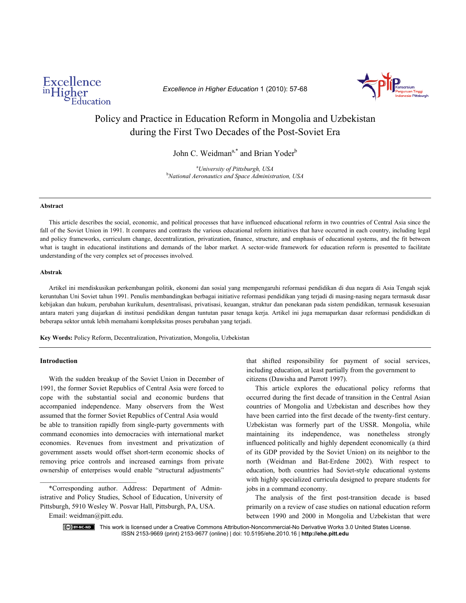

*Excellence in Higher Education* 1 (2010): 57-68



# Policy and Practice in Education Reform in Mongolia and Uzbekistan during the First Two Decades of the Post-Soviet Era

John C. Weidman<sup>a,\*</sup> and Brian Yoder<sup>b</sup>

<sup>a</sup>University of Pittsburgh, USA *University of Pittsburgh, USA* <sup>b</sup> *National Aeronautics and Space Administration, USA*

#### **Abstract**

 This article describes the social, economic, and political processes that have influenced educational reform in two countries of Central Asia since the fall of the Soviet Union in 1991. It compares and contrasts the various educational reform initiatives that have occurred in each country, including legal and policy frameworks, curriculum change, decentralization, privatization, finance, structure, and emphasis of educational systems, and the fit between what is taught in educational institutions and demands of the labor market. A sector-wide framework for education reform is presented to facilitate understanding of the very complex set of processes involved.

#### **Abstrak**

Artikel ini mendiskusikan perkembangan politik, ekonomi dan sosial yang mempengaruhi reformasi pendidikan di dua negara di Asia Tengah sejak keruntuhan Uni Soviet tahun 1991. Penulis membandingkan berbagai initiative reformasi pendidikan yang terjadi di masing-nasing negara termasuk dasar kebijakan dan hukum, perubahan kurikulum, desentralisasi, privatisasi, keuangan, struktur dan penekanan pada sistem pendidikan, termasuk kesesuaian antara materi yang diajarkan di institusi pendidikan dengan tuntutan pasar tenaga kerja. Artikel ini juga memaparkan dasar reformasi pendididkan di beberapa sektor untuk lebih memahami kompleksitas proses perubahan yang terjadi.

**Key Words:** Policy Reform, Decentralization, Privatization, Mongolia, Uzbekistan

## **Introduction**

 With the sudden breakup of the Soviet Union in December of 1991, the former Soviet Republics of Central Asia were forced to cope with the substantial social and economic burdens that accompanied independence. Many observers from the West assumed that the former Soviet Republics of Central Asia would be able to transition rapidly from single-party governments with command economies into democracies with international market economies. Revenues from investment and privatization of government assets would offset short-term economic shocks of removing price controls and increased earnings from private ownership of enterprises would enable "structural adjustments"

 \*Corresponding author. Address: Department of Administrative and Policy Studies, School of Education, University of Pittsburgh, 5910 Wesley W. Posvar Hall, Pittsburgh, PA, USA.

Email: weidman@pitt.edu.

that shifted responsibility for payment of social services, including education, at least partially from the government to citizens (Dawisha and Parrott 1997).

 This article explores the educational policy reforms that occurred during the first decade of transition in the Central Asian countries of Mongolia and Uzbekistan and describes how they have been carried into the first decade of the twenty-first century. Uzbekistan was formerly part of the USSR. Mongolia, while maintaining its independence, was nonetheless strongly influenced politically and highly dependent economically (a third of its GDP provided by the Soviet Union) on its neighbor to the north (Weidman and Bat-Erdene 2002). With respect to education, both countries had Soviet-style educational systems with highly specialized curricula designed to prepare students for jobs in a command economy.

 The analysis of the first post-transition decade is based primarily on a review of case studies on national education reform between 1990 and 2000 in Mongolia and Uzbekistan that were

C<sup>a</sup> BY-NC-ND This work is licensed under a Creative Commons Attribution-Noncommercial-No Derivative Works 3.0 United States License. ISSN 2153-9669 (print) 2153-9677 (online) | doi: 10.5195/ehe.2010.16 | **http://ehe.pitt.edu**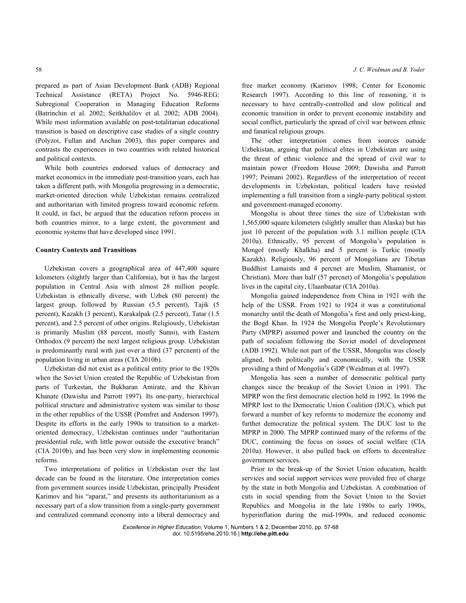prepared as part of Asian Development Bank (ADB) Regional Technical Assistance (RETA) Project No. 5946-REG: Subregional Cooperation in Managing Education Reforms (Batrinchin et al. 2002; Seitkhalilov et al. 2002; ADB 2004). While most information available on post-totalitarian educational transition is based on descriptive case studies of a single country (Polyzoi, Fullan and Anchan 2003), this paper compares and contrasts the experiences in two countries with related historical and political contexts.

 While both countries endorsed values of democracy and market economics in the immediate post-transition years, each has taken a different path, with Mongolia progressing in a democratic, market-oriented direction while Uzbekistan remains centralized and authoritarian with limited progress toward economic reform. It could, in fact, be argued that the education reform process in both countries mirror, to a large extent, the government and economic systems that have developed since 1991.

## **Country Contexts and Transitions**

 Uzbekistan covers a geographical area of 447,400 square kilometers (slightly larger than California), but it has the largest population in Central Asia with almost 28 million people. Uzbekistan is ethnically diverse, with Uzbek (80 percent) the largest group, followed by Russian (5.5 percent), Tajik (5 percent), Kazakh (3 percent), Karakalpak (2.5 percent), Tatar (1.5 percent), and 2.5 percent of other origins. Religiously, Uzbekistan is primarily Muslim (88 percent, mostly Sunni), with Eastern Orthodox (9 percent) the next largest religious group. Uzbekistan is predominantly rural with just over a third (37 percnent) of the population living in urban areas (CIA 2010b).

 Uzbekistan did not exist as a political entity prior to the 1920s when the Soviet Union created the Republic of Uzbekistan from parts of Turkestan, the Bukharan Amirate, and the Khivan Khanate (Dawisha and Parrott 1997). Its one-party, hierarchical political structure and administrative system was similar to those in the other republics of the USSR (Pomfret and Anderson 1997). Despite its efforts in the early 1990s to transition to a marketoriented democracy, Uzbekistan continues under "authoritarian presidential rule, with little power outside the executive branch" (CIA 2010b), and has been very slow in implementing economic reforms.

 Two interpretations of politics in Uzbekistan over the last decade can be found in the literature. One interpretation comes from government sources inside Uzbekistan, principally President Karimov and his "aparat," and presents its authoritarianism as a necessary part of a slow transition from a single-party government and centralized command economy into a liberal democracy and

free market economy (Karimov 1998; Center for Economic Research 1997). According to this line of reasoning, it is necessary to have centrally-controlled and slow political and economic transition in order to prevent economic instability and social conflict, particularly the spread of civil war between ethnic and fanatical religious groups.

 The other interpretation comes from sources outside Uzbekistan, arguing that political elites in Uzbekistan are using the threat of ethnic violence and the spread of civil war to maintain power (Freedom House 2009; Dawisha and Parrott 1997; Peimani 2002). Regardless of the interpretation of recent developments in Uzbekistan, political leaders have resisted implementing a full transition from a single-party political system and government-managed economy.

 Mongolia is about three times the size of Uzbekistan with 1,565,000 square kilometers (slightly smaller than Alaska) but has just 10 percent of the population with 3.1 million people (CIA 2010a). Ethnically, 95 percent of Mongolia's population is Mongol (mostly Khalkha) and 5 percent is Turkic (mostly Kazakh). Religiously, 96 percent of Mongolians are Tibetan Buddhist Lamaists and 4 percnet are Muslim, Shamanist, or Christian). More than half (57 percnet) of Mongolia's population lives in the capital city, Ulaanbaatar (CIA 2010a).

 Mongolia gained independence from China in 1921 with the help of the USSR. From 1921 to 1924 it was a constitutional monarchy until the death of Mongolia's first and only priest-king, the Bogd Khan. In 1924 the Mongolia People's Revolutionary Party (MPRP) assumed power and launched the country on the path of socialism following the Soviet model of development (ADB 1992). While not part of the USSR, Mongolia was closely aligned, both politically and economically, with the USSR providing a third of Mongolia's GDP (Weidman et al. 1997).

 Mongolia has seen a number of democratic political party changes since the breakup of the Soviet Union in 1991. The MPRP won the first democratic election held in 1992. In 1996 the MPRP lost to the Democratic Union Coalition (DUC), which put forward a number of key reforms to modernize the economy and further democratize the political system. The DUC lost to the MPRP in 2000. The MPRP continued many of the reforms of the DUC, continuing the focus on issues of social welfare (CIA 2010a). However, it also pulled back on efforts to decentralize government services.

 Prior to the break-up of the Soviet Union education, health services and social support services were provided free of charge by the state in both Mongolia and Uzbekistan. A combination of cuts in social spending from the Soviet Union to the Soviet Republics and Mongolia in the late 1980s to early 1990s, hyperinflation during the mid-1990s, and reduced economic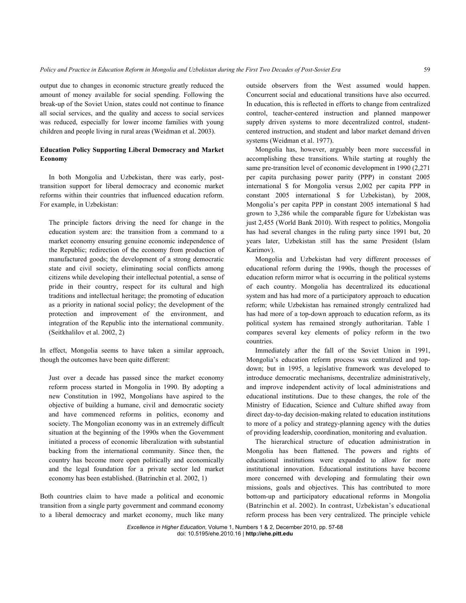output due to changes in economic structure greatly reduced the amount of money available for social spending. Following the break-up of the Soviet Union, states could not continue to finance all social services, and the quality and access to social services was reduced, especially for lower income families with young children and people living in rural areas (Weidman et al. 2003).

# **Education Policy Supporting Liberal Democracy and Market Economy**

 In both Mongolia and Uzbekistan, there was early, posttransition support for liberal democracy and economic market reforms within their countries that influenced education reform. For example, in Uzbekistan:

The principle factors driving the need for change in the education system are: the transition from a command to a market economy ensuring genuine economic independence of the Republic; redirection of the economy from production of manufactured goods; the development of a strong democratic state and civil society, eliminating social conflicts among citizens while developing their intellectual potential, a sense of pride in their country, respect for its cultural and high traditions and intellectual heritage; the promoting of education as a priority in national social policy; the development of the protection and improvement of the environment, and integration of the Republic into the international community. (Seitkhalilov et al. 2002, 2)

In effect, Mongolia seems to have taken a similar approach, though the outcomes have been quite different:

Just over a decade has passed since the market economy reform process started in Mongolia in 1990. By adopting a new Constitution in 1992, Mongolians have aspired to the objective of building a humane, civil and democratic society and have commenced reforms in politics, economy and society. The Mongolian economy was in an extremely difficult situation at the beginning of the 1990s when the Government initiated a process of economic liberalization with substantial backing from the international community. Since then, the country has become more open politically and economically and the legal foundation for a private sector led market economy has been established. (Batrinchin et al. 2002, 1)

Both countries claim to have made a political and economic transition from a single party government and command economy to a liberal democracy and market economy, much like many

outside observers from the West assumed would happen. Concurrent social and educational transitions have also occurred. In education, this is reflected in efforts to change from centralized control, teacher-centered instruction and planned manpower supply driven systems to more decentralized control, studentcentered instruction, and student and labor market demand driven systems (Weidman et al. 1977).

 Mongolia has, however, arguably been more successful in accomplishing these transitions. While starting at roughly the same pre-transition level of economic development in 1990 (2,271 per capita purchasing power parity (PPP) in constant 2005 international \$ for Mongolia versus 2,002 per capita PPP in constant 2005 international \$ for Uzbekistan), by 2008, Mongolia's per capita PPP in constant 2005 international \$ had grown to 3,286 while the comparable figure for Uzbekistan was just 2,455 (World Bank 2010). With respect to politics, Mongolia has had several changes in the ruling party since 1991 but, 20 years later, Uzbekistan still has the same President (Islam Karimov).

 Mongolia and Uzbekistan had very different processes of educational reform during the 1990s, though the processes of education reform mirror what is occurring in the political systems of each country. Mongolia has decentralized its educational system and has had more of a participatory approach to education reform; while Uzbekistan has remained strongly centralized had has had more of a top-down approach to education reform, as its political system has remained strongly authoritarian. Table 1 compares several key elements of policy reform in the two countries.

 Immediately after the fall of the Soviet Union in 1991, Mongolia's education reform process was centralized and topdown; but in 1995, a legislative framework was developed to introduce democratic mechanisms, decentralize administratively, and improve independent activity of local administrations and educational institutions. Due to these changes, the role of the Ministry of Education, Science and Culture shifted away from direct day-to-day decision-making related to education institutions to more of a policy and strategy-planning agency with the duties of providing leadership, coordination, monitoring and evaluation.

 The hierarchical structure of education administration in Mongolia has been flattened. The powers and rights of educational institutions were expanded to allow for more institutional innovation. Educational institutions have become more concerned with developing and formulating their own missions, goals and objectives. This has contributed to more bottom-up and participatory educational reforms in Mongolia (Batrinchin et al. 2002). In contrast, Uzbekistan's educational reform process has been very centralized. The principle vehicle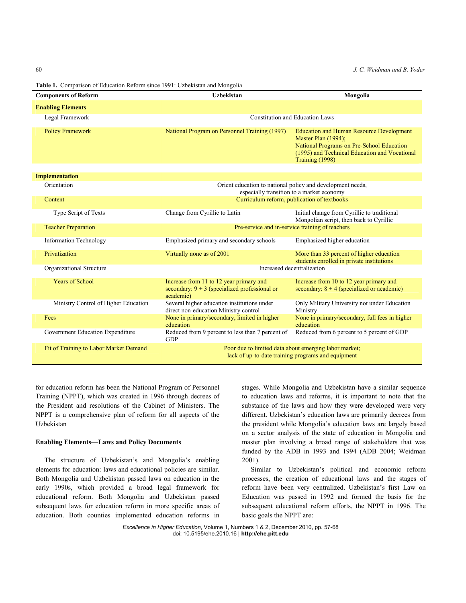60 *J. C. Weidman and B. Yoder*

**Table 1.** Comparison of Education Reform since 1991: Uzbekistan and Mongolia

| <b>Components of Reform</b>            | <b>Uzbekistan</b>                                                                                           | Mongolia                                                                                                                                                                                |
|----------------------------------------|-------------------------------------------------------------------------------------------------------------|-----------------------------------------------------------------------------------------------------------------------------------------------------------------------------------------|
| <b>Enabling Elements</b>               |                                                                                                             |                                                                                                                                                                                         |
| Legal Framework                        | <b>Constitution and Education Laws</b>                                                                      |                                                                                                                                                                                         |
| <b>Policy Framework</b>                | National Program on Personnel Training (1997)                                                               | <b>Education and Human Resource Development</b><br>Master Plan (1994);<br>National Programs on Pre-School Education<br>(1995) and Technical Education and Vocational<br>Training (1998) |
| <b>Implementation</b>                  |                                                                                                             |                                                                                                                                                                                         |
| Orientation                            | Orient education to national policy and development needs,<br>especially transition to a market economy     |                                                                                                                                                                                         |
| Content                                | Curriculum reform, publication of textbooks                                                                 |                                                                                                                                                                                         |
| <b>Type Script of Texts</b>            | Change from Cyrillic to Latin                                                                               | Initial change from Cyrillic to traditional<br>Mongolian script, then back to Cyrillic                                                                                                  |
| <b>Teacher Preparation</b>             | Pre-service and in-service training of teachers                                                             |                                                                                                                                                                                         |
| <b>Information Technology</b>          | Emphasized primary and secondary schools                                                                    | Emphasized higher education                                                                                                                                                             |
| Privatization                          | Virtually none as of 2001                                                                                   | More than 33 percent of higher education<br>students enrolled in private institutions                                                                                                   |
| Organizational Structure               | Increased decentralization                                                                                  |                                                                                                                                                                                         |
| <b>Years of School</b>                 | Increase from 11 to 12 year primary and<br>secondary: $9 + 3$ (specialized professional or<br>academic)     | Increase from 10 to 12 year primary and<br>secondary: $8 + 4$ (specialized or academic)                                                                                                 |
| Ministry Control of Higher Education   | Several higher education institutions under<br>direct non-education Ministry control                        | Only Military University not under Education<br>Ministry                                                                                                                                |
| Fees                                   | None in primary/secondary, limited in higher<br>education                                                   | None in primary/secondary, full fees in higher<br>education                                                                                                                             |
| Government Education Expenditure       | Reduced from 9 percent to less than 7 percent of<br>GDP                                                     | Reduced from 6 percent to 5 percent of GDP                                                                                                                                              |
| Fit of Training to Labor Market Demand | Poor due to limited data about emerging labor market;<br>lack of up-to-date training programs and equipment |                                                                                                                                                                                         |

for education reform has been the National Program of Personnel Training (NPPT), which was created in 1996 through decrees of the President and resolutions of the Cabinet of Ministers. The NPPT is a comprehensive plan of reform for all aspects of the Uzbekistan

### **Enabling Elements—Laws and Policy Documents**

 The structure of Uzbekistan's and Mongolia's enabling elements for education: laws and educational policies are similar. Both Mongolia and Uzbekistan passed laws on education in the early 1990s, which provided a broad legal framework for educational reform. Both Mongolia and Uzbekistan passed subsequent laws for education reform in more specific areas of education. Both counties implemented education reforms in stages. While Mongolia and Uzbekistan have a similar sequence to education laws and reforms, it is important to note that the substance of the laws and how they were developed were very different. Uzbekistan's education laws are primarily decrees from the president while Mongolia's education laws are largely based on a sector analysis of the state of education in Mongolia and master plan involving a broad range of stakeholders that was funded by the ADB in 1993 and 1994 (ADB 2004; Weidman 2001).

 Similar to Uzbekistan's political and economic reform processes, the creation of educational laws and the stages of reform have been very centralized. Uzbekistan's first Law on Education was passed in 1992 and formed the basis for the subsequent educational reform efforts, the NPPT in 1996. The basic goals the NPPT are: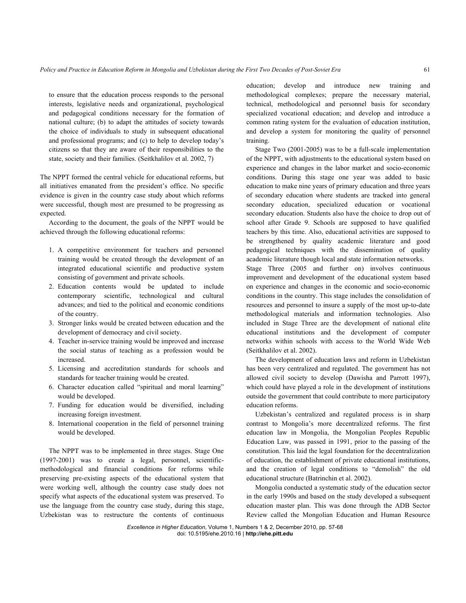to ensure that the education process responds to the personal interests, legislative needs and organizational, psychological and pedagogical conditions necessary for the formation of national culture; (b) to adapt the attitudes of society towards the choice of individuals to study in subsequent educational and professional programs; and (c) to help to develop today's citizens so that they are aware of their responsibilities to the state, society and their families. (Seitkhalilov et al. 2002, 7)

The NPPT formed the central vehicle for educational reforms, but all initiatives emanated from the president's office. No specific evidence is given in the country case study about which reforms were successful, though most are presumed to be progressing as expected.

 According to the document, the goals of the NPPT would be achieved through the following educational reforms:

- 1. A competitive environment for teachers and personnel training would be created through the development of an integrated educational scientific and productive system consisting of government and private schools.
- 2. Education contents would be updated to include contemporary scientific, technological and cultural advances; and tied to the political and economic conditions of the country.
- 3. Stronger links would be created between education and the development of democracy and civil society.
- 4. Teacher in-service training would be improved and increase the social status of teaching as a profession would be increased.
- 5. Licensing and accreditation standards for schools and standards for teacher training would be created.
- 6. Character education called "spiritual and moral learning" would be developed.
- 7. Funding for education would be diversified, including increasing foreign investment.
- 8. International cooperation in the field of personnel training would be developed.

 The NPPT was to be implemented in three stages. Stage One (1997-2001) was to create a legal, personnel, scientificmethodological and financial conditions for reforms while preserving pre-existing aspects of the educational system that were working well, although the country case study does not specify what aspects of the educational system was preserved. To use the language from the country case study, during this stage, Uzbekistan was to restructure the contents of continuous

education; develop and introduce new training and methodological complexes; prepare the necessary material, technical, methodological and personnel basis for secondary specialized vocational education; and develop and introduce a common rating system for the evaluation of education institution, and develop a system for monitoring the quality of personnel training.

 Stage Two (2001-2005) was to be a full-scale implementation of the NPPT, with adjustments to the educational system based on experience and changes in the labor market and socio-economic conditions. During this stage one year was added to basic education to make nine years of primary education and three years of secondary education where students are tracked into general secondary education, specialized education or vocational secondary education. Students also have the choice to drop out of school after Grade 9. Schools are supposed to have qualified teachers by this time. Also, educational activities are supposed to be strengthened by quality academic literature and good pedagogical techniques with the dissemination of quality academic literature though local and state information networks.

Stage Three (2005 and further on) involves continuous improvement and development of the educational system based on experience and changes in the economic and socio-economic conditions in the country. This stage includes the consolidation of resources and personnel to insure a supply of the most up-to-date methodological materials and information technologies. Also included in Stage Three are the development of national elite educational institutions and the development of computer networks within schools with access to the World Wide Web (Seitkhalilov et al. 2002).

 The development of education laws and reform in Uzbekistan has been very centralized and regulated. The government has not allowed civil society to develop (Dawisha and Parrott 1997), which could have played a role in the development of institutions outside the government that could contribute to more participatory education reforms.

 Uzbekistan's centralized and regulated process is in sharp contrast to Mongolia's more decentralized reforms. The first education law in Mongolia, the Mongolian Peoples Republic Education Law, was passed in 1991, prior to the passing of the constitution. This laid the legal foundation for the decentralization of education, the establishment of private educational institutions, and the creation of legal conditions to "demolish" the old educational structure (Batrinchin et al. 2002).

 Mongolia conducted a systematic study of the education sector in the early 1990s and based on the study developed a subsequent education master plan. This was done through the ADB Sector Review called the Mongolian Education and Human Resource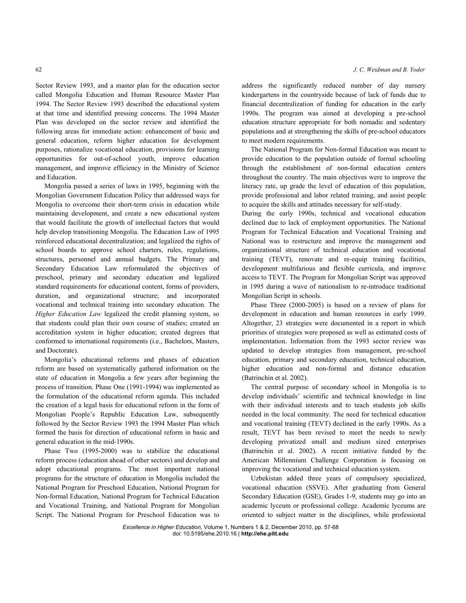Sector Review 1993, and a master plan for the education sector called Mongolia Education and Human Resource Master Plan 1994. The Sector Review 1993 described the educational system at that time and identified pressing concerns. The 1994 Master Plan was developed on the sector review and identified the following areas for immediate action: enhancement of basic and general education, reform higher education for development purposes, rationalize vocational education, provisions for learning opportunities for out-of-school youth, improve education management, and improve efficiency in the Ministry of Science and Education.

 Mongolia passed a series of laws in 1995, beginning with the Mongolian Government Education Policy that addressed ways for Mongolia to overcome their short-term crisis in education while maintaining development, and create a new educational system that would facilitate the growth of intellectual factors that would help develop transitioning Mongolia. The Education Law of 1995 reinforced educational decentralization; and legalized the rights of school boards to approve school charters, rules, regulations, structures, personnel and annual budgets. The Primary and Secondary Education Law reformulated the objectives of preschool, primary and secondary education and legalized standard requirements for educational content, forms of providers, duration, and organizational structure; and incorporated vocational and technical training into secondary education. The *Higher Education Law* legalized the credit planning system, so that students could plan their own course of studies; created an accreditation system in higher education; created degrees that conformed to international requirements (i.e., Bachelors, Masters, and Doctorate).

 Mongolia's educational reforms and phases of education reform are based on systematically gathered information on the state of education in Mongolia a few years after beginning the process of transition. Phase One (1991-1994) was implemented as the formulation of the educational reform agenda. This included the creation of a legal basis for educational reform in the form of Mongolian People's Republic Education Law, subsequently followed by the Sector Review 1993 the 1994 Master Plan which formed the basis for direction of educational reform in basic and general education in the mid-1990s.

 Phase Two (1995-2000) was to stabilize the educational reform process (education ahead of other sectors) and develop and adopt educational programs. The most important national programs for the structure of education in Mongolia included the National Program for Preschool Education, National Program for Non-formal Education, National Program for Technical Education and Vocational Training, and National Program for Mongolian Script. The National Program for Preschool Education was to

address the significantly reduced number of day nursery kindergartens in the countryside because of lack of funds due to financial decentralization of funding for education in the early 1990s. The program was aimed at developing a pre-school education structure appropriate for both nomadic and sedentary populations and at strengthening the skills of pre-school educators to meet modern requirements.

 The National Program for Non-formal Education was meant to provide education to the population outside of formal schooling through the establishment of non-formal education centers throughout the country. The main objectives were to improve the literacy rate, up grade the level of education of this population, provide professional and labor related training, and assist people to acquire the skills and attitudes necessary for self-study.

During the early 1990s, technical and vocational education declined due to lack of employment opportunities. The National Program for Technical Education and Vocational Training and National was to restructure and improve the management and organizational structure of technical education and vocational training (TEVT), renovate and re-equip training facilities, development multifarious and flexible curricula, and improve access to TEVT. The Program for Mongolian Script was approved in 1995 during a wave of nationalism to re-introduce traditional Mongolian Script in schools.

 Phase Three (2000-2005) is based on a review of plans for development in education and human resources in early 1999. Altogether, 23 strategies were documented in a report in which priorities of strategies were proposed as well as estimated costs of implementation. Information from the 1993 sector review was updated to develop strategies from management, pre-school education, primary and secondary education, technical education, higher education and non-formal and distance education (Batrinchin et al. 2002).

 The central purpose of secondary school in Mongolia is to develop individuals' scientific and technical knowledge in line with their individual interests and to teach students job skills needed in the local community. The need for technical education and vocational training (TEVT) declined in the early 1990s. As a result, TEVT has been revised to meet the needs to newly developing privatized small and medium sized enterprises (Batrinchin et al. 2002). A recent initiative funded by the American Millennium Challenge Corporation is focusing on improving the vocational and technical education system.

 Uzbekistan added three years of compulsory specialized, vocational education (SSVE). After graduating from General Secondary Education (GSE), Grades 1-9, students may go into an academic lyceum or professional college. Academic lyceums are oriented to subject matter in the disciplines, while professional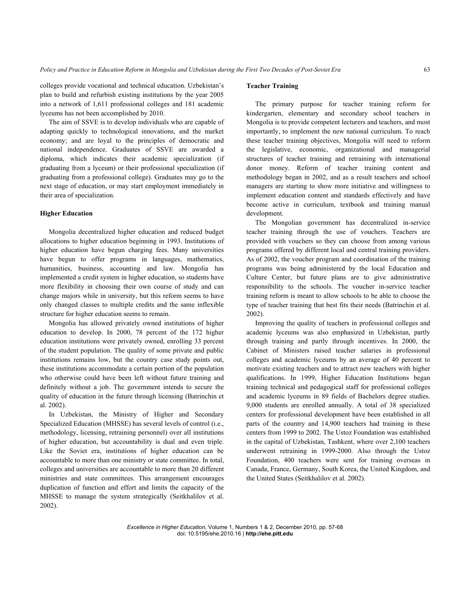colleges provide vocational and technical education. Uzbekistan's plan to build and refurbish existing institutions by the year 2005 into a network of 1,611 professional colleges and 181 academic lyceums has not been accomplished by 2010.

 The aim of SSVE is to develop individuals who are capable of adapting quickly to technological innovations, and the market economy; and are loyal to the principles of democratic and national independence. Graduates of SSVE are awarded a diploma, which indicates their academic specialization (if graduating from a lyceum) or their professional specialization (if graduating from a professional college). Graduates may go to the next stage of education, or may start employment immediately in their area of specialization.

## **Higher Education**

 Mongolia decentralized higher education and reduced budget allocations to higher education beginning in 1993. Institutions of higher education have begun charging fees. Many universities have begun to offer programs in languages, mathematics, humanities, business, accounting and law. Mongolia has implemented a credit system in higher education, so students have more flexibility in choosing their own course of study and can change majors while in university, but this reform seems to have only changed classes to multiple credits and the same inflexible structure for higher education seems to remain.

 Mongolia has allowed privately owned institutions of higher education to develop. In 2000, 78 percent of the 172 higher education institutions were privately owned, enrolling 33 percent of the student population. The quality of some private and public institutions remains low, but the country case study points out, these institutions accommodate a certain portion of the population who otherwise could have been left without future training and definitely without a job. The government intends to secure the quality of education in the future through licensing (Batrinchin et al. 2002).

 In Uzbekistan, the Ministry of Higher and Secondary Specialized Education (MHSSE) has several levels of control (i.e., methodology, licensing, retraining personnel) over all institutions of higher education, but accountability is dual and even triple. Like the Soviet era, institutions of higher education can be accountable to more than one ministry or state committee. In total, colleges and universities are accountable to more than 20 different ministries and state committees. This arrangement encourages duplication of function and effort and limits the capacity of the MHSSE to manage the system strategically (Seitkhalilov et al. 2002).

## **Teacher Training**

 The primary purpose for teacher training reform for kindergarten, elementary and secondary school teachers in Mongolia is to provide competent lecturers and teachers, and most importantly, to implement the new national curriculum. To reach these teacher training objectives, Mongolia will need to reform the legislative, economic, organizational and managerial structures of teacher training and retraining with international donor money. Reform of teacher training content and methodology began in 2002, and as a result teachers and school managers are starting to show more initiative and willingness to implement education content and standards effectively and have become active in curriculum, textbook and training manual development.

 The Mongolian government has decentralized in-service teacher training through the use of vouchers. Teachers are provided with vouchers so they can choose from among various programs offered by different local and central training providers. As of 2002, the voucher program and coordination of the training programs was being administered by the local Education and Culture Center, but future plans are to give administrative responsibility to the schools. The voucher in-service teacher training reform is meant to allow schools to be able to choose the type of teacher training that best fits their needs (Batrinchin et al. 2002).

 Improving the quality of teachers in professional colleges and academic lyceums was also emphasized in Uzbekistan, partly through training and partly through incentives. In 2000, the Cabinet of Ministers raised teacher salaries in professional colleges and academic lyceums by an average of 40 percent to motivate existing teachers and to attract new teachers with higher qualifications. In 1999, Higher Education Institutions began training technical and pedagogical staff for professional colleges and academic lyceums in 89 fields of Bachelors degree studies. 9,000 students are enrolled annually. A total of 38 specialized centers for professional development have been established in all parts of the country and 14,900 teachers had training in these centers from 1999 to 2002. The Ustoz Foundation was established in the capital of Uzbekistan, Tashkent, where over 2,100 teachers underwent retraining in 1999-2000. Also through the Ustoz Foundation, 400 teachers were sent for training overseas in Canada, France, Germany, South Korea, the United Kingdom, and the United States (Seitkhalilov et al. 2002).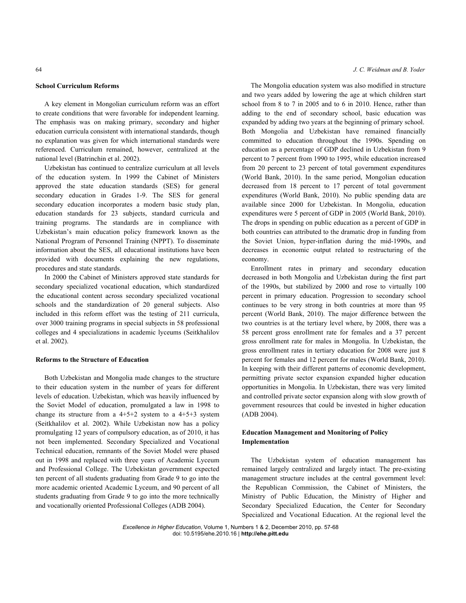#### **School Curriculum Reforms**

 A key element in Mongolian curriculum reform was an effort to create conditions that were favorable for independent learning. The emphasis was on making primary, secondary and higher education curricula consistent with international standards, though no explanation was given for which international standards were referenced. Curriculum remained, however, centralized at the national level (Batrinchin et al. 2002).

 Uzbekistan has continued to centralize curriculum at all levels of the education system. In 1999 the Cabinet of Ministers approved the state education standards (SES) for general secondary education in Grades 1-9. The SES for general secondary education incorporates a modern basic study plan, education standards for 23 subjects, standard curricula and training programs. The standards are in compliance with Uzbekistan's main education policy framework known as the National Program of Personnel Training (NPPT). To disseminate information about the SES, all educational institutions have been provided with documents explaining the new regulations, procedures and state standards.

 In 2000 the Cabinet of Ministers approved state standards for secondary specialized vocational education, which standardized the educational content across secondary specialized vocational schools and the standardization of 20 general subjects. Also included in this reform effort was the testing of 211 curricula, over 3000 training programs in special subjects in 58 professional colleges and 4 specializations in academic lyceums (Seitkhalilov et al. 2002).

## **Reforms to the Structure of Education**

 Both Uzbekistan and Mongolia made changes to the structure to their education system in the number of years for different levels of education. Uzbekistan, which was heavily influenced by the Soviet Model of education, promulgated a law in 1998 to change its structure from a  $4+5+2$  system to a  $4+5+3$  system (Seitkhalilov et al. 2002). While Uzbekistan now has a policy promulgating 12 years of compulsory education, as of 2010, it has not been implemented. Secondary Specialized and Vocational Technical education, remnants of the Soviet Model were phased out in 1998 and replaced with three years of Academic Lyceum and Professional College. The Uzbekistan government expected ten percent of all students graduating from Grade 9 to go into the more academic oriented Academic Lyceum, and 90 percent of all students graduating from Grade 9 to go into the more technically and vocationally oriented Professional Colleges (ADB 2004).

#### 64 *J. C. Weidman and B. Yoder*

 The Mongolia education system was also modified in structure and two years added by lowering the age at which children start school from 8 to 7 in 2005 and to 6 in 2010. Hence, rather than adding to the end of secondary school, basic education was expanded by adding two years at the beginning of primary school. Both Mongolia and Uzbekistan have remained financially committed to education throughout the 1990s. Spending on education as a percentage of GDP declined in Uzbekistan from 9 percent to 7 percent from 1990 to 1995, while education increased from 20 percent to 23 percent of total government expenditures (World Bank, 2010). In the same period, Mongolian education decreased from 18 percent to 17 percent of total government expenditures (World Bank, 2010). No public spending data are available since 2000 for Uzbekistan. In Mongolia, education expenditures were 5 percent of GDP in 2005 (World Bank, 2010). The drops in spending on public education as a percent of GDP in both countries can attributed to the dramatic drop in funding from the Soviet Union, hyper-inflation during the mid-1990s, and decreases in economic output related to restructuring of the economy.

 Enrollment rates in primary and secondary education decreased in both Mongolia and Uzbekistan during the first part of the 1990s, but stabilized by 2000 and rose to virtually 100 percent in primary education. Progression to secondary school continues to be very strong in both countries at more than 95 percent (World Bank, 2010). The major difference between the two countries is at the tertiary level where, by 2008, there was a 58 percent gross enrollment rate for females and a 37 percent gross enrollment rate for males in Mongolia. In Uzbekistan, the gross enrollment rates in tertiary education for 2008 were just 8 percent for females and 12 percent for males (World Bank, 2010). In keeping with their different patterns of economic development, permitting private sector expansion expanded higher education opportunities in Mongolia. In Uzbekistan, there was very limited and controlled private sector expansion along with slow growth of government resources that could be invested in higher education (ADB 2004).

## **Education Management and Monitoring of Policy Implementation**

 The Uzbekistan system of education management has remained largely centralized and largely intact. The pre-existing management structure includes at the central government level: the Republican Commission, the Cabinet of Ministers, the Ministry of Public Education, the Ministry of Higher and Secondary Specialized Education, the Center for Secondary Specialized and Vocational Education. At the regional level the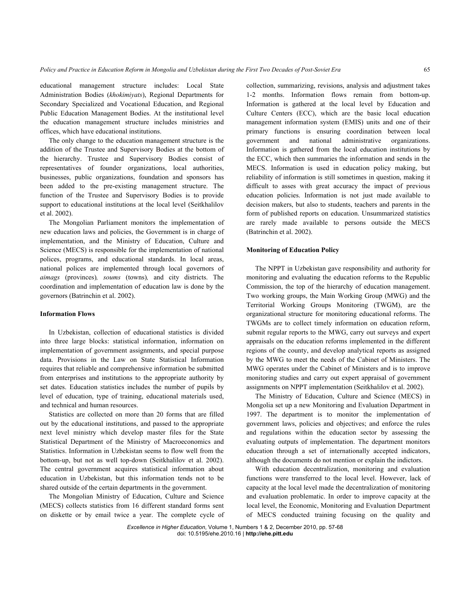educational management structure includes: Local State Administration Bodies (*khokimiyats*), Regional Departments for Secondary Specialized and Vocational Education, and Regional Public Education Management Bodies. At the institutional level the education management structure includes ministries and offices, which have educational institutions.

 The only change to the education management structure is the addition of the Trustee and Supervisory Bodies at the bottom of the hierarchy. Trustee and Supervisory Bodies consist of representatives of founder organizations, local authorities, businesses, public organizations, foundation and sponsors has been added to the pre-existing management structure. The function of the Trustee and Supervisory Bodies is to provide support to educational institutions at the local level (Seitkhalilov et al. 2002).

 The Mongolian Parliament monitors the implementation of new education laws and policies, the Government is in charge of implementation, and the Ministry of Education, Culture and Science (MECS) is responsible for the implementation of national polices, programs, and educational standards. In local areas, national polices are implemented through local governors of *aimags* (provinces)*, soums* (towns)*,* and city districts. The coordination and implementation of education law is done by the governors (Batrinchin et al. 2002).

## **Information Flows**

 In Uzbekistan, collection of educational statistics is divided into three large blocks: statistical information, information on implementation of government assignments, and special purpose data. Provisions in the Law on State Statistical Information requires that reliable and comprehensive information be submitted from enterprises and institutions to the appropriate authority by set dates. Education statistics includes the number of pupils by level of education, type of training, educational materials used, and technical and human resources.

 Statistics are collected on more than 20 forms that are filled out by the educational institutions, and passed to the appropriate next level ministry which develop master files for the State Statistical Department of the Ministry of Macroeconomics and Statistics. Information in Uzbekistan seems to flow well from the bottom-up, but not as well top-down (Seitkhalilov et al. 2002). The central government acquires statistical information about education in Uzbekistan, but this information tends not to be shared outside of the certain departments in the government.

 The Mongolian Ministry of Education, Culture and Science (MECS) collects statistics from 16 different standard forms sent on diskette or by email twice a year. The complete cycle of

collection, summarizing, revisions, analysis and adjustment takes 1-2 months. Information flows remain from bottom-up. Information is gathered at the local level by Education and Culture Centers (ECC), which are the basic local education management information system (EMIS) units and one of their primary functions is ensuring coordination between local government and national administrative organizations. Information is gathered from the local education institutions by the ECC, which then summaries the information and sends in the MECS. Information is used in education policy making, but reliability of information is still sometimes in question, making it difficult to asses with great accuracy the impact of previous education policies. Information is not just made available to decision makers, but also to students, teachers and parents in the form of published reports on education. Unsummarized statistics are rarely made available to persons outside the MECS (Batrinchin et al. 2002).

## **Monitoring of Education Policy**

 The NPPT in Uzbekistan gave responsibility and authority for monitoring and evaluating the education reforms to the Republic Commission, the top of the hierarchy of education management. Two working groups, the Main Working Group (MWG) and the Territorial Working Groups Monitoring (TWGM), are the organizational structure for monitoring educational reforms. The TWGMs are to collect timely information on education reform, submit regular reports to the MWG, carry out surveys and expert appraisals on the education reforms implemented in the different regions of the county, and develop analytical reports as assigned by the MWG to meet the needs of the Cabinet of Ministers. The MWG operates under the Cabinet of Ministers and is to improve monitoring studies and carry out expert appraisal of government assignments on NPPT implementation (Seitkhalilov et al. 2002).

 The Ministry of Education, Culture and Science (MECS) in Mongolia set up a new Monitoring and Evaluation Department in 1997. The department is to monitor the implementation of government laws, policies and objectives; and enforce the rules and regulations within the education sector by assessing the evaluating outputs of implementation. The department monitors education through a set of internationally accepted indicators, although the documents do not mention or explain the indictors.

 With education decentralization, monitoring and evaluation functions were transferred to the local level. However, lack of capacity at the local level made the decentralization of monitoring and evaluation problematic. In order to improve capacity at the local level, the Economic, Monitoring and Evaluation Department of MECS conducted training focusing on the quality and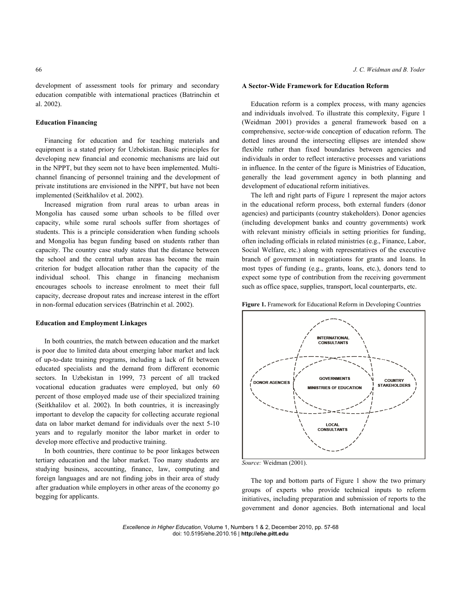development of assessment tools for primary and secondary education compatible with international practices (Batrinchin et al. 2002).

#### **Education Financing**

 Financing for education and for teaching materials and equipment is a stated priory for Uzbekistan. Basic principles for developing new financial and economic mechanisms are laid out in the NPPT, but they seem not to have been implemented. Multichannel financing of personnel training and the development of private institutions are envisioned in the NPPT, but have not been implemented (Seitkhalilov et al. 2002).

 Increased migration from rural areas to urban areas in Mongolia has caused some urban schools to be filled over capacity, while some rural schools suffer from shortages of students. This is a principle consideration when funding schools and Mongolia has begun funding based on students rather than capacity. The country case study states that the distance between the school and the central urban areas has become the main criterion for budget allocation rather than the capacity of the individual school. This change in financing mechanism encourages schools to increase enrolment to meet their full capacity, decrease dropout rates and increase interest in the effort in non-formal education services (Batrinchin et al. 2002).

#### **Education and Employment Linkages**

 In both countries, the match between education and the market is poor due to limited data about emerging labor market and lack of up-to-date training programs, including a lack of fit between educated specialists and the demand from different economic sectors. In Uzbekistan in 1999, 73 percent of all tracked vocational education graduates were employed, but only 60 percent of those employed made use of their specialized training (Seitkhalilov et al. 2002). In both countries, it is increasingly important to develop the capacity for collecting accurate regional data on labor market demand for individuals over the next 5-10 years and to regularly monitor the labor market in order to develop more effective and productive training.

 In both countries, there continue to be poor linkages between tertiary education and the labor market. Too many students are studying business, accounting, finance, law, computing and foreign languages and are not finding jobs in their area of study after graduation while employers in other areas of the economy go begging for applicants.

#### **A Sector-Wide Framework for Education Reform**

 Education reform is a complex process, with many agencies and individuals involved. To illustrate this complexity, Figure 1 (Weidman 2001) provides a general framework based on a comprehensive, sector-wide conception of education reform. The dotted lines around the intersecting ellipses are intended show flexible rather than fixed boundaries between agencies and individuals in order to reflect interactive processes and variations in influence. In the center of the figure is Ministries of Education, generally the lead government agency in both planning and development of educational reform initiatives.

 The left and right parts of Figure 1 represent the major actors in the educational reform process, both external funders (donor agencies) and participants (country stakeholders). Donor agencies (including development banks and country governments) work with relevant ministry officials in setting priorities for funding, often including officials in related ministries (e.g., Finance, Labor, Social Welfare, etc.) along with representatives of the executive branch of government in negotiations for grants and loans. In most types of funding (e.g., grants, loans, etc.), donors tend to expect some type of contribution from the receiving government such as office space, supplies, transport, local counterparts, etc.



**Figure 1.** Framework for Educational Reform in Developing Countries

*Source:* Weidman (2001).

 The top and bottom parts of Figure 1 show the two primary groups of experts who provide technical inputs to reform initiatives, including preparation and submission of reports to the government and donor agencies. Both international and local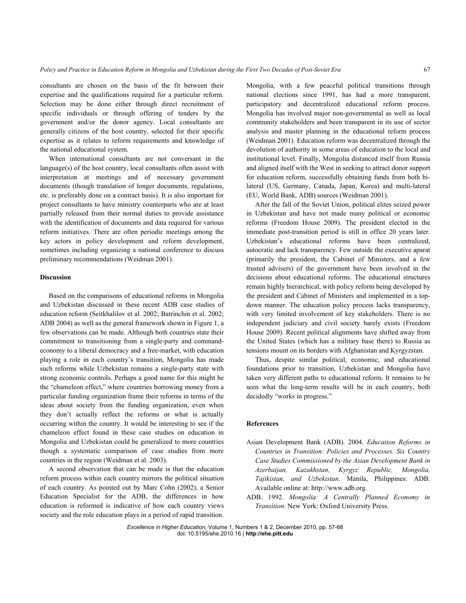consultants are chosen on the basis of the fit between their expertise and the qualifications required for a particular reform. Selection may be done either through direct recruitment of specific individuals or through offering of tenders by the government and/or the donor agency. Local consultants are generally citizens of the host country, selected for their specific expertise as it relates to reform requirements and knowledge of the national educational system.

 When international consultants are not conversant in the language(s) of the host country, local consultants often assist with interpretation at meetings and of necessary government documents (though translation of longer documents, regulations, etc. is preferably done on a contract basis). It is also important for project consultants to have ministry counterparts who are at least partially released from their normal duties to provide assistance with the identification of documents and data required for various reform initiatives. There are often periodic meetings among the key actors in policy development and reform development, sometimes including organizing a national conference to discuss preliminary recommendations (Weidman 2001).

## **Discussion**

 Based on the comparisons of educational reforms in Mongolia and Uzbekistan discussed in these recent ADB case studies of education reform (Seitkhalilov et al. 2002; Batrinchin et al. 2002; ADB 2004) as well as the general framework shown in Figure 1, a few observations can be made. Although both countries state their commitment to transitioning from a single-party and commandeconomy to a liberal democracy and a free-market, with education playing a role in each country's transition, Mongolia has made such reforms while Uzbekistan remains a single-party state with strong economic controls. Perhaps a good name for this might be the "chameleon effect," where countries borrowing money from a particular funding organization frame their reforms in terms of the ideas about society from the funding organization, even when they don't actually reflect the reforms or what is actually occurring within the country. It would be interesting to see if the chameleon effect found in these case studies on education in Mongolia and Uzbekistan could be generalized to more countries though a systematic comparison of case studies from more countries in the region (Weidman et al. 2003).

 A second observation that can be made is that the education reform process within each country mirrors the political situation of each country. As pointed out by Marc Cohn (2002), a Senior Education Specialist for the ADB, the differences in how education is reformed is indicative of how each country views society and the role education plays in a period of rapid transition.

Mongolia, with a few peaceful political transitions through national elections since 1991, has had a more transparent, participatory and decentralized educational reform process. Mongolia has involved major non-governmental as well as local community stakeholders and been transparent in its use of sector analysis and master planning in the educational reform process (Weidman 2001). Education reform was decentralized through the devolution of authority in some areas of education to the local and institutional level. Finally, Mongolia distanced itself from Russia and aligned itself with the West in seeking to attract donor support for education reform, successfully obtaining funds from both bilateral (US, Germany, Canada, Japan, Korea) and multi-lateral (EU, World Bank, ADB) sources (Weidman 2001).

 After the fall of the Soviet Union, political elites seized power in Uzbekistan and have not made many political or economic reforms (Freedom House 2009). The president elected in the immediate post-transition period is still in office 20 years later. Uzbekistan's educational reforms have been centralized, autocratic and lack transparency. Few outside the executive aparat (primarily the president, the Cabinet of Ministers, and a few trusted advisers) of the government have been involved in the decisions about educational reforms. The educational structures remain highly hierarchical, with policy reform being developed by the president and Cabinet of Ministers and implemented in a topdown manner. The education policy process lacks transparency, with very limited involvement of key stakeholders. There is no independent judiciary and civil society barely exists (Freedom House 2009). Recent political alignments have shifted away from the United States (which has a military base there) to Russia as tensions mount on its borders with Afghanistan and Kyrgyzstan.

 Thus, despite similar political, economic, and educational foundations prior to transition, Uzbekistan and Mongolia have taken very different paths to educational reform. It remains to be seen what the long-term results will be in each country, both decidedly "works in progress."

#### **References**

- Asian Development Bank (ADB). 2004. *Education Reforms in Countries in Transition: Policies and Processes. Six Country Case Studies Commissioned by the Asian Development Bank in Azerbaijan, Kazakhstan, Kyrgyz Republic, Mongolia, Tajikistan, and Uzbekistan*. Manila, Philippines: ADB. Available online at: http://www.adb.org.
- ADB. 1992. *Mongolia: A Centrally Planned Economy in Transition*. New York: Oxford University Press.